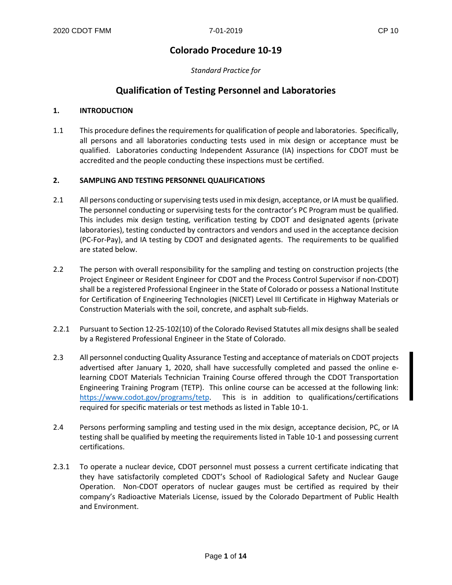# **Colorado Procedure 10-19**

*Standard Practice for*

# **Qualification of Testing Personnel and Laboratories**

#### **1. INTRODUCTION**

1.1 This procedure defines the requirements for qualification of people and laboratories. Specifically, all persons and all laboratories conducting tests used in mix design or acceptance must be qualified. Laboratories conducting Independent Assurance (IA) inspections for CDOT must be accredited and the people conducting these inspections must be certified.

#### **2. SAMPLING AND TESTING PERSONNEL QUALIFICATIONS**

- 2.1 All persons conducting or supervising tests used in mix design, acceptance, or IA must be qualified. The personnel conducting or supervising tests for the contractor's PC Program must be qualified. This includes mix design testing, verification testing by CDOT and designated agents (private laboratories), testing conducted by contractors and vendors and used in the acceptance decision (PC-For-Pay), and IA testing by CDOT and designated agents. The requirements to be qualified are stated below.
- 2.2 The person with overall responsibility for the sampling and testing on construction projects (the Project Engineer or Resident Engineer for CDOT and the Process Control Supervisor if non-CDOT) shall be a registered Professional Engineer in the State of Colorado or possess a National Institute for Certification of Engineering Technologies (NICET) Level III Certificate in Highway Materials or Construction Materials with the soil, concrete, and asphalt sub-fields.
- 2.2.1 Pursuant to Section 12-25-102(10) of the Colorado Revised Statutes all mix designs shall be sealed by a Registered Professional Engineer in the State of Colorado.
- 2.3 All personnel conducting Quality Assurance Testing and acceptance of materials on CDOT projects advertised after January 1, 2020, shall have successfully completed and passed the online elearning CDOT Materials Technician Training Course offered through the CDOT Transportation Engineering Training Program (TETP). This online course can be accessed at the following link: [https://www.codot.gov/programs/tetp.](https://www.codot.gov/programs/tetp) This is in addition to qualifications/certifications required for specific materials or test methods as listed in Table 10-1.
- 2.4 Persons performing sampling and testing used in the mix design, acceptance decision, PC, or IA testing shall be qualified by meeting the requirements listed in Table 10-1 and possessing current certifications.
- 2.3.1 To operate a nuclear device, CDOT personnel must possess a current certificate indicating that they have satisfactorily completed CDOT's School of Radiological Safety and Nuclear Gauge Operation. Non-CDOT operators of nuclear gauges must be certified as required by their company's Radioactive Materials License, issued by the Colorado Department of Public Health and Environment.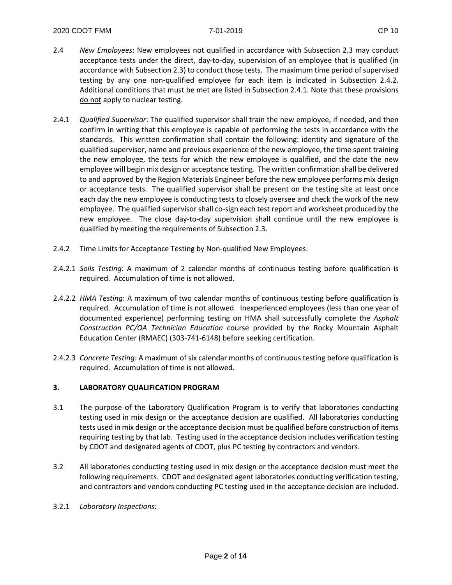- 2.4 *New Employees*: New employees not qualified in accordance with Subsection 2.3 may conduct acceptance tests under the direct, day-to-day, supervision of an employee that is qualified (in accordance with Subsection 2.3) to conduct those tests. The maximum time period of supervised testing by any one non-qualified employee for each item is indicated in Subsection 2.4.2. Additional conditions that must be met are listed in Subsection 2.4.1. Note that these provisions do not apply to nuclear testing.
- 2.4.1 *Qualified Supervisor*: The qualified supervisor shall train the new employee, if needed, and then confirm in writing that this employee is capable of performing the tests in accordance with the standards. This written confirmation shall contain the following: identity and signature of the qualified supervisor, name and previous experience of the new employee, the time spent training the new employee, the tests for which the new employee is qualified, and the date the new employee will begin mix design or acceptance testing. The written confirmation shall be delivered to and approved by the Region Materials Engineer before the new employee performs mix design or acceptance tests. The qualified supervisor shall be present on the testing site at least once each day the new employee is conducting tests to closely oversee and check the work of the new employee. The qualified supervisor shall co-sign each test report and worksheet produced by the new employee. The close day-to-day supervision shall continue until the new employee is qualified by meeting the requirements of Subsection 2.3.
- 2.4.2 Time Limits for Acceptance Testing by Non-qualified New Employees:
- 2.4.2.1 *Soils Testing*: A maximum of 2 calendar months of continuous testing before qualification is required. Accumulation of time is not allowed.
- 2.4.2.2 *HMA Testing*: A maximum of two calendar months of continuous testing before qualification is required. Accumulation of time is not allowed. Inexperienced employees (less than one year of documented experience) performing testing on HMA shall successfully complete the *Asphalt Construction PC/OA Technician Education* course provided by the Rocky Mountain Asphalt Education Center (RMAEC) (303-741-6148) before seeking certification.
- 2.4.2.3 *Concrete Testing:* A maximum of six calendar months of continuous testing before qualification is required. Accumulation of time is not allowed.

#### **3. LABORATORY QUALIFICATION PROGRAM**

- 3.1 The purpose of the Laboratory Qualification Program is to verify that laboratories conducting testing used in mix design or the acceptance decision are qualified. All laboratories conducting tests used in mix design or the acceptance decision must be qualified before construction of items requiring testing by that lab. Testing used in the acceptance decision includes verification testing by CDOT and designated agents of CDOT, plus PC testing by contractors and vendors.
- 3.2 All laboratories conducting testing used in mix design or the acceptance decision must meet the following requirements. CDOT and designated agent laboratories conducting verification testing, and contractors and vendors conducting PC testing used in the acceptance decision are included.
- 3.2.1 *Laboratory Inspections*: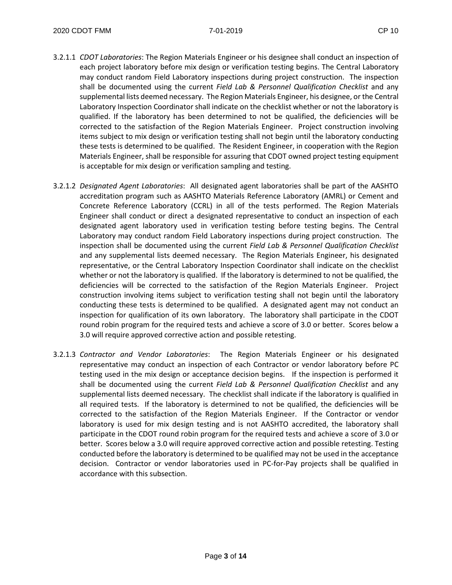- 3.2.1.1 *CDOT Laboratories*: The Region Materials Engineer or his designee shall conduct an inspection of each project laboratory before mix design or verification testing begins. The Central Laboratory may conduct random Field Laboratory inspections during project construction. The inspection shall be documented using the current *Field Lab & Personnel Qualification Checklist* and any supplemental lists deemed necessary. The Region Materials Engineer, his designee, or the Central Laboratory Inspection Coordinator shall indicate on the checklist whether or not the laboratory is qualified. If the laboratory has been determined to not be qualified, the deficiencies will be corrected to the satisfaction of the Region Materials Engineer. Project construction involving items subject to mix design or verification testing shall not begin until the laboratory conducting these tests is determined to be qualified. The Resident Engineer, in cooperation with the Region Materials Engineer, shall be responsible for assuring that CDOT owned project testing equipment is acceptable for mix design or verification sampling and testing.
- 3.2.1.2 *Designated Agent Laboratories*: All designated agent laboratories shall be part of the AASHTO accreditation program such as AASHTO Materials Reference Laboratory (AMRL) or Cement and Concrete Reference Laboratory (CCRL) in all of the tests performed. The Region Materials Engineer shall conduct or direct a designated representative to conduct an inspection of each designated agent laboratory used in verification testing before testing begins. The Central Laboratory may conduct random Field Laboratory inspections during project construction. The inspection shall be documented using the current *Field Lab & Personnel Qualification Checklist* and any supplemental lists deemed necessary. The Region Materials Engineer, his designated representative, or the Central Laboratory Inspection Coordinator shall indicate on the checklist whether or not the laboratory is qualified. If the laboratory is determined to not be qualified, the deficiencies will be corrected to the satisfaction of the Region Materials Engineer. Project construction involving items subject to verification testing shall not begin until the laboratory conducting these tests is determined to be qualified. A designated agent may not conduct an inspection for qualification of its own laboratory. The laboratory shall participate in the CDOT round robin program for the required tests and achieve a score of 3.0 or better. Scores below a 3.0 will require approved corrective action and possible retesting.
- 3.2.1.3 *Contractor and Vendor Laboratories*: The Region Materials Engineer or his designated representative may conduct an inspection of each Contractor or vendor laboratory before PC testing used in the mix design or acceptance decision begins. If the inspection is performed it shall be documented using the current *Field Lab & Personnel Qualification Checklist* and any supplemental lists deemed necessary. The checklist shall indicate if the laboratory is qualified in all required tests. If the laboratory is determined to not be qualified, the deficiencies will be corrected to the satisfaction of the Region Materials Engineer. If the Contractor or vendor laboratory is used for mix design testing and is not AASHTO accredited, the laboratory shall participate in the CDOT round robin program for the required tests and achieve a score of 3.0 or better. Scores below a 3.0 will require approved corrective action and possible retesting. Testing conducted before the laboratory is determined to be qualified may not be used in the acceptance decision. Contractor or vendor laboratories used in PC-for-Pay projects shall be qualified in accordance with this subsection.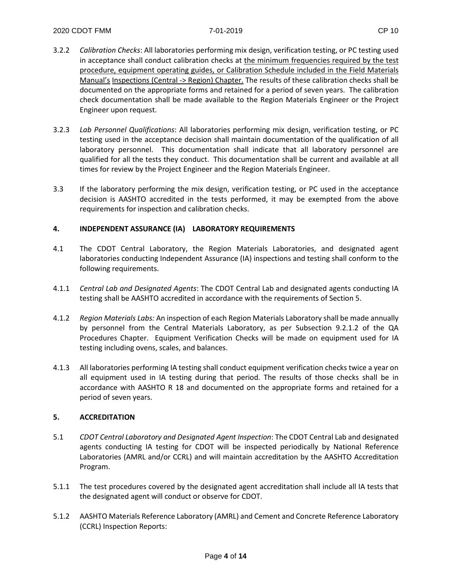- 3.2.2 *Calibration Checks*: All laboratories performing mix design, verification testing, or PC testing used in acceptance shall conduct calibration checks at the minimum frequencies required by the test procedure, equipment operating guides, or Calibration Schedule included in the Field Materials Manual's Inspections (Central -> Region) Chapter. The results of these calibration checks shall be documented on the appropriate forms and retained for a period of seven years. The calibration check documentation shall be made available to the Region Materials Engineer or the Project Engineer upon request.
- 3.2.3 *Lab Personnel Qualifications*: All laboratories performing mix design, verification testing, or PC testing used in the acceptance decision shall maintain documentation of the qualification of all laboratory personnel. This documentation shall indicate that all laboratory personnel are qualified for all the tests they conduct. This documentation shall be current and available at all times for review by the Project Engineer and the Region Materials Engineer.
- 3.3 If the laboratory performing the mix design, verification testing, or PC used in the acceptance decision is AASHTO accredited in the tests performed, it may be exempted from the above requirements for inspection and calibration checks.

#### **4. INDEPENDENT ASSURANCE (IA) LABORATORY REQUIREMENTS**

- 4.1 The CDOT Central Laboratory, the Region Materials Laboratories, and designated agent laboratories conducting Independent Assurance (IA) inspections and testing shall conform to the following requirements.
- 4.1.1 *Central Lab and Designated Agents*: The CDOT Central Lab and designated agents conducting IA testing shall be AASHTO accredited in accordance with the requirements of Section 5.
- 4.1.2 *Region Materials Labs:* An inspection of each Region Materials Laboratory shall be made annually by personnel from the Central Materials Laboratory, as per Subsection 9.2.1.2 of the QA Procedures Chapter. Equipment Verification Checks will be made on equipment used for IA testing including ovens, scales, and balances.
- 4.1.3 All laboratories performing IA testing shall conduct equipment verification checks twice a year on all equipment used in IA testing during that period. The results of those checks shall be in accordance with AASHTO R 18 and documented on the appropriate forms and retained for a period of seven years.

#### **5. ACCREDITATION**

- 5.1 *CDOT Central Laboratory and Designated Agent Inspection*: The CDOT Central Lab and designated agents conducting IA testing for CDOT will be inspected periodically by National Reference Laboratories (AMRL and/or CCRL) and will maintain accreditation by the AASHTO Accreditation Program.
- 5.1.1 The test procedures covered by the designated agent accreditation shall include all IA tests that the designated agent will conduct or observe for CDOT.
- 5.1.2 AASHTO Materials Reference Laboratory (AMRL) and Cement and Concrete Reference Laboratory (CCRL) Inspection Reports: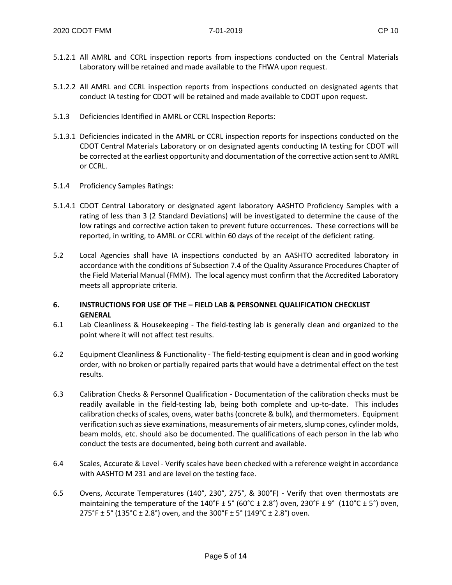- 5.1.2.1 All AMRL and CCRL inspection reports from inspections conducted on the Central Materials Laboratory will be retained and made available to the FHWA upon request.
- 5.1.2.2 All AMRL and CCRL inspection reports from inspections conducted on designated agents that conduct IA testing for CDOT will be retained and made available to CDOT upon request.
- 5.1.3 Deficiencies Identified in AMRL or CCRL Inspection Reports:
- 5.1.3.1 Deficiencies indicated in the AMRL or CCRL inspection reports for inspections conducted on the CDOT Central Materials Laboratory or on designated agents conducting IA testing for CDOT will be corrected at the earliest opportunity and documentation of the corrective action sent to AMRL or CCRL.
- 5.1.4 Proficiency Samples Ratings:
- 5.1.4.1 CDOT Central Laboratory or designated agent laboratory AASHTO Proficiency Samples with a rating of less than 3 (2 Standard Deviations) will be investigated to determine the cause of the low ratings and corrective action taken to prevent future occurrences. These corrections will be reported, in writing, to AMRL or CCRL within 60 days of the receipt of the deficient rating.
- 5.2 Local Agencies shall have IA inspections conducted by an AASHTO accredited laboratory in accordance with the conditions of Subsection 7.4 of the Quality Assurance Procedures Chapter of the Field Material Manual (FMM). The local agency must confirm that the Accredited Laboratory meets all appropriate criteria.

#### **6. INSTRUCTIONS FOR USE OF THE – FIELD LAB & PERSONNEL QUALIFICATION CHECKLIST GENERAL**

- 6.1 Lab Cleanliness & Housekeeping The field-testing lab is generally clean and organized to the point where it will not affect test results.
- 6.2 Equipment Cleanliness & Functionality The field-testing equipment is clean and in good working order, with no broken or partially repaired parts that would have a detrimental effect on the test results.
- 6.3 Calibration Checks & Personnel Qualification Documentation of the calibration checks must be readily available in the field-testing lab, being both complete and up-to-date. This includes calibration checks of scales, ovens, water baths (concrete & bulk), and thermometers. Equipment verification such as sieve examinations, measurements of air meters, slump cones, cylinder molds, beam molds, etc. should also be documented. The qualifications of each person in the lab who conduct the tests are documented, being both current and available.
- 6.4 Scales, Accurate & Level Verify scales have been checked with a reference weight in accordance with AASHTO M 231 and are level on the testing face.
- 6.5 Ovens, Accurate Temperatures (140°, 230°, 275°, & 300°F) Verify that oven thermostats are maintaining the temperature of the  $140^{\circ}F \pm 5^{\circ}$  (60°C  $\pm$  2.8°) oven, 230°F  $\pm$  9° (110°C  $\pm$  5°) oven, 275°F ± 5° (135°C ± 2.8°) oven, and the 300°F ± 5° (149°C ± 2.8°) oven.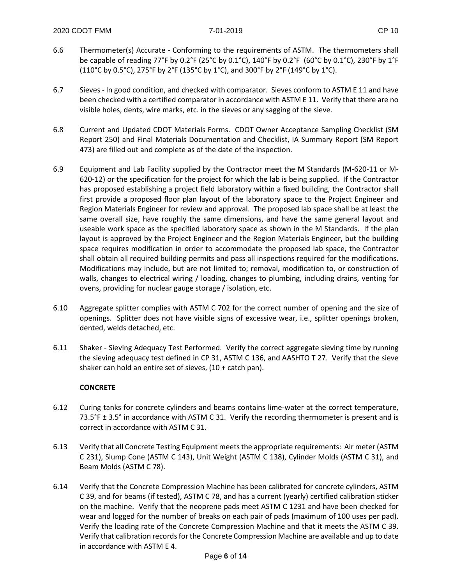- 6.6 Thermometer(s) Accurate Conforming to the requirements of ASTM. The thermometers shall be capable of reading 77°F by 0.2°F (25°C by 0.1°C), 140°F by 0.2°F (60°C by 0.1°C), 230°F by 1°F (110°C by 0.5°C), 275°F by 2°F (135°C by 1°C), and 300°F by 2°F (149°C by 1°C).
- 6.7 Sieves In good condition, and checked with comparator. Sieves conform to ASTM E 11 and have been checked with a certified comparator in accordance with ASTM E 11. Verify that there are no visible holes, dents, wire marks, etc. in the sieves or any sagging of the sieve.
- 6.8 Current and Updated CDOT Materials Forms. CDOT Owner Acceptance Sampling Checklist (SM Report 250) and Final Materials Documentation and Checklist, IA Summary Report (SM Report 473) are filled out and complete as of the date of the inspection.
- 6.9 Equipment and Lab Facility supplied by the Contractor meet the M Standards (M-620-11 or M-620-12) or the specification for the project for which the lab is being supplied. If the Contractor has proposed establishing a project field laboratory within a fixed building, the Contractor shall first provide a proposed floor plan layout of the laboratory space to the Project Engineer and Region Materials Engineer for review and approval. The proposed lab space shall be at least the same overall size, have roughly the same dimensions, and have the same general layout and useable work space as the specified laboratory space as shown in the M Standards. If the plan layout is approved by the Project Engineer and the Region Materials Engineer, but the building space requires modification in order to accommodate the proposed lab space, the Contractor shall obtain all required building permits and pass all inspections required for the modifications. Modifications may include, but are not limited to; removal, modification to, or construction of walls, changes to electrical wiring / loading, changes to plumbing, including drains, venting for ovens, providing for nuclear gauge storage / isolation, etc.
- 6.10 Aggregate splitter complies with ASTM C 702 for the correct number of opening and the size of openings. Splitter does not have visible signs of excessive wear, i.e., splitter openings broken, dented, welds detached, etc.
- 6.11 Shaker Sieving Adequacy Test Performed. Verify the correct aggregate sieving time by running the sieving adequacy test defined in CP 31, ASTM C 136, and AASHTO T 27. Verify that the sieve shaker can hold an entire set of sieves,  $(10 + \text{catch pan})$ .

#### **CONCRETE**

- 6.12 Curing tanks for concrete cylinders and beams contains lime-water at the correct temperature, 73.5°F ± 3.5° in accordance with ASTM C 31. Verify the recording thermometer is present and is correct in accordance with ASTM C 31.
- 6.13 Verify that all Concrete Testing Equipment meets the appropriate requirements: Air meter (ASTM C 231), Slump Cone (ASTM C 143), Unit Weight (ASTM C 138), Cylinder Molds (ASTM C 31), and Beam Molds (ASTM C 78).
- 6.14 Verify that the Concrete Compression Machine has been calibrated for concrete cylinders, ASTM C 39, and for beams (if tested), ASTM C 78, and has a current (yearly) certified calibration sticker on the machine. Verify that the neoprene pads meet ASTM C 1231 and have been checked for wear and logged for the number of breaks on each pair of pads (maximum of 100 uses per pad). Verify the loading rate of the Concrete Compression Machine and that it meets the ASTM C 39. Verify that calibration records for the Concrete Compression Machine are available and up to date in accordance with ASTM E 4.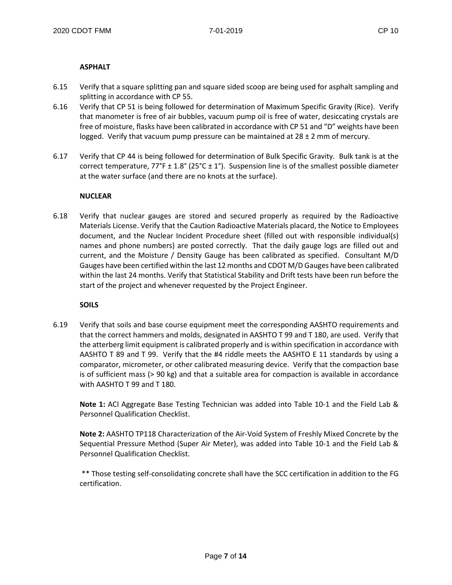#### **ASPHALT**

- 6.15 Verify that a square splitting pan and square sided scoop are being used for asphalt sampling and splitting in accordance with CP 55.
- 6.16 Verify that CP 51 is being followed for determination of Maximum Specific Gravity (Rice). Verify that manometer is free of air bubbles, vacuum pump oil is free of water, desiccating crystals are free of moisture, flasks have been calibrated in accordance with CP 51 and "D" weights have been logged. Verify that vacuum pump pressure can be maintained at  $28 \pm 2$  mm of mercury.
- 6.17 Verify that CP 44 is being followed for determination of Bulk Specific Gravity. Bulk tank is at the correct temperature,  $77^{\circ}F \pm 1.8^{\circ}$  (25°C  $\pm$  1°). Suspension line is of the smallest possible diameter at the water surface (and there are no knots at the surface).

#### **NUCLEAR**

6.18 Verify that nuclear gauges are stored and secured properly as required by the Radioactive Materials License. Verify that the Caution Radioactive Materials placard, the Notice to Employees document, and the Nuclear Incident Procedure sheet (filled out with responsible individual(s) names and phone numbers) are posted correctly. That the daily gauge logs are filled out and current, and the Moisture / Density Gauge has been calibrated as specified. Consultant M/D Gauges have been certified within the last 12 months and CDOT M/D Gauges have been calibrated within the last 24 months. Verify that Statistical Stability and Drift tests have been run before the start of the project and whenever requested by the Project Engineer.

#### **SOILS**

6.19 Verify that soils and base course equipment meet the corresponding AASHTO requirements and that the correct hammers and molds, designated in AASHTO T 99 and T 180, are used. Verify that the atterberg limit equipment is calibrated properly and is within specification in accordance with AASHTO T 89 and T 99. Verify that the #4 riddle meets the AASHTO E 11 standards by using a comparator, micrometer, or other calibrated measuring device. Verify that the compaction base is of sufficient mass (> 90 kg) and that a suitable area for compaction is available in accordance with AASHTO T 99 and T 180.

**Note 1:** ACI Aggregate Base Testing Technician was added into Table 10-1 and the Field Lab & Personnel Qualification Checklist.

**Note 2:** AASHTO TP118 Characterization of the Air-Void System of Freshly Mixed Concrete by the Sequential Pressure Method (Super Air Meter), was added into Table 10-1 and the Field Lab & Personnel Qualification Checklist.

\*\* Those testing self-consolidating concrete shall have the SCC certification in addition to the FG certification.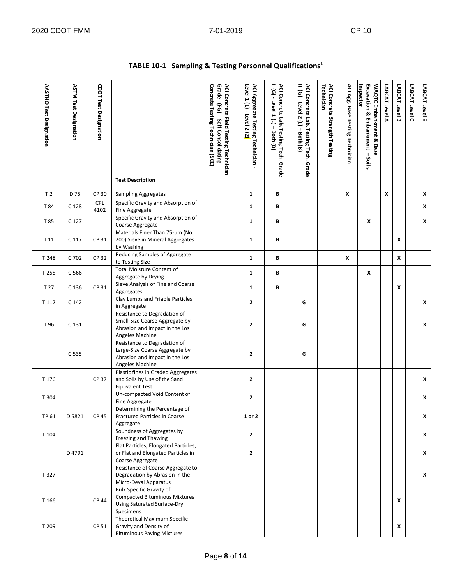÷.

 $\overline{\phantom{a}}$  $\overline{\phantom{a}}$  $\overline{\mathbf{r}}$ 

| AASTHO Test Designation | <b>ASTM Test Designation</b> | <b>CDOT Test Designation</b> | <b>Test Description</b>                                                                                             | ACI Concrete Field Testing Technician<br>Concrete Testing Technician (SCC)<br>Grade I (FG) - Self-Consolidating | Level 1 (1) - Level 2 (2)<br>ACI Aggregate Testing Technician | ACI Concrete Lab. Testing Tech. Grade<br>(G) - Level 1 (L) - Both (B) | ACI Concrete Lab. Testing Tech. Grade<br>II (G) - Level 2 (L) – Both (B) | ACI Concrete Strength Testing<br>Technician | ACI Agg. Base Testing Technician | Inspector<br>WAQTC Embankment & Base<br>Excavation & Embankment<br>$-$ Soil s | LABCAT Level A     | LABCAT Level B | LABCAT Level C | LABCAT Level E |
|-------------------------|------------------------------|------------------------------|---------------------------------------------------------------------------------------------------------------------|-----------------------------------------------------------------------------------------------------------------|---------------------------------------------------------------|-----------------------------------------------------------------------|--------------------------------------------------------------------------|---------------------------------------------|----------------------------------|-------------------------------------------------------------------------------|--------------------|----------------|----------------|----------------|
| T <sub>2</sub>          | D 75                         | CP 30                        | <b>Sampling Aggregates</b>                                                                                          |                                                                                                                 | $\mathbf{1}$                                                  | В                                                                     |                                                                          |                                             | X                                |                                                                               | $\pmb{\mathsf{x}}$ |                |                | X              |
| T 84                    | C 128                        | <b>CPL</b><br>4102           | Specific Gravity and Absorption of<br>Fine Aggregate                                                                |                                                                                                                 | $\mathbf{1}$                                                  | В                                                                     |                                                                          |                                             |                                  |                                                                               |                    |                |                | X              |
| T 85                    | C 127                        |                              | Specific Gravity and Absorption of<br>Coarse Aggregate                                                              |                                                                                                                 | $\mathbf{1}$                                                  | В                                                                     |                                                                          |                                             |                                  | X                                                                             |                    |                |                | x              |
| T 11                    | C 117                        | CP 31                        | Materials Finer Than 75-um (No.<br>200) Sieve in Mineral Aggregates<br>by Washing                                   |                                                                                                                 | $\mathbf{1}$                                                  | B                                                                     |                                                                          |                                             |                                  |                                                                               |                    | X              |                |                |
| T 248                   | C 702                        | <b>CP 32</b>                 | Reducing Samples of Aggregate<br>to Testing Size                                                                    |                                                                                                                 | $\mathbf{1}$                                                  | В                                                                     |                                                                          |                                             | X                                |                                                                               |                    | X              |                |                |
| T 255                   | C 566                        |                              | <b>Total Moisture Content of</b><br>Aggregate by Drying                                                             |                                                                                                                 | $\mathbf{1}$                                                  | В                                                                     |                                                                          |                                             |                                  | X                                                                             |                    |                |                |                |
| T 27                    | C <sub>136</sub>             | CP 31                        | Sieve Analysis of Fine and Coarse<br>Aggregates                                                                     |                                                                                                                 | $\mathbf{1}$                                                  | В                                                                     |                                                                          |                                             |                                  |                                                                               |                    | X              |                |                |
| T 112                   | C <sub>142</sub>             |                              | Clay Lumps and Friable Particles<br>in Aggregate                                                                    |                                                                                                                 | $\mathbf{2}$                                                  |                                                                       | G                                                                        |                                             |                                  |                                                                               |                    |                |                | X              |
| T 96                    | C <sub>131</sub>             |                              | Resistance to Degradation of<br>Small-Size Coarse Aggregate by<br>Abrasion and Impact in the Los<br>Angeles Machine |                                                                                                                 | $\mathbf{2}$                                                  |                                                                       | G                                                                        |                                             |                                  |                                                                               |                    |                |                | X              |
|                         | C 535                        |                              | Resistance to Degradation of<br>Large-Size Coarse Aggregate by<br>Abrasion and Impact in the Los<br>Angeles Machine |                                                                                                                 | $\mathbf{2}$                                                  |                                                                       | G                                                                        |                                             |                                  |                                                                               |                    |                |                |                |
| T 176                   |                              | CP 37                        | Plastic fines in Graded Aggregates<br>and Soils by Use of the Sand<br><b>Equivalent Test</b>                        |                                                                                                                 | $\mathbf{2}$                                                  |                                                                       |                                                                          |                                             |                                  |                                                                               |                    |                |                | X              |
| T 304                   |                              |                              | Un-compacted Void Content of<br>Fine Aggregate                                                                      |                                                                                                                 | $\mathbf{2}$                                                  |                                                                       |                                                                          |                                             |                                  |                                                                               |                    |                |                | X              |
| TP 61                   | D 5821                       | CP 45                        | Determining the Percentage of<br>Fractured Particles in Coarse<br>Aggregate                                         |                                                                                                                 | 1 or 2                                                        |                                                                       |                                                                          |                                             |                                  |                                                                               |                    |                |                | x              |
| T 104                   |                              |                              | Soundness of Aggregates by<br>Freezing and Thawing                                                                  |                                                                                                                 | $\mathbf{2}$                                                  |                                                                       |                                                                          |                                             |                                  |                                                                               |                    |                |                | X              |
|                         | D 4791                       |                              | Flat Particles, Elongated Particles,<br>or Flat and Elongated Particles in<br>Coarse Aggregate                      |                                                                                                                 | $\mathbf{2}$                                                  |                                                                       |                                                                          |                                             |                                  |                                                                               |                    |                |                | x              |
| T 327                   |                              |                              | Resistance of Coarse Aggregate to<br>Degradation by Abrasion in the<br>Micro-Deval Apparatus                        |                                                                                                                 |                                                               |                                                                       |                                                                          |                                             |                                  |                                                                               |                    |                |                | X              |
| T 166                   |                              | <b>CP 44</b>                 | <b>Bulk Specific Gravity of</b><br><b>Compacted Bituminous Mixtures</b><br>Using Saturated Surface-Dry<br>Specimens |                                                                                                                 |                                                               |                                                                       |                                                                          |                                             |                                  |                                                                               |                    | X              |                |                |
| T 209                   |                              | CP 51                        | <b>Theoretical Maximum Specific</b><br>Gravity and Density of<br><b>Bituminous Paving Mixtures</b>                  |                                                                                                                 |                                                               |                                                                       |                                                                          |                                             |                                  |                                                                               |                    | X              |                |                |

#### **TABLE 10-1 Sampling & Testing Personnel Qualifications1**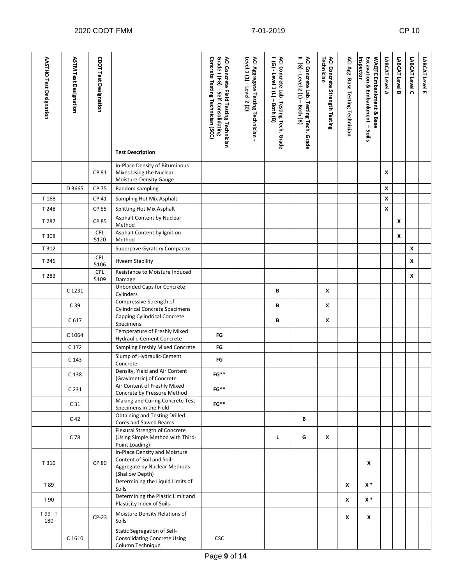| AASTHO Test Designation | <b>ASTM Test Designation</b> | <b>CDOT Test Designation</b> | <b>Test Description</b>                                                                                       | Concrete Testing Technician (SCC)<br>Grade I (FG) - Self-Consolidating<br>ACI Concrete Field Testing Technician | Level 1 (1) - Level 2 (2)<br>ACI Aggregate Testing Technician - | I (G) - Level 1 (L) - Both (B)<br>ACI Concrete Lab. Testing Tech. Grade | II (G) - Level 2 (L) - Both (B)<br>ACI Concrete Lab. Testing Tech. Grade | ACI Concrete Strength Testing<br>Technician | ACI Agg. Base Testing Technician | Inspector<br>Excavation & Embankment - Soil s<br>WAQTC Embankment & Base | LABCAT Level A | LABCAT Level B | LABCAT Level C | LABCAT Level E |
|-------------------------|------------------------------|------------------------------|---------------------------------------------------------------------------------------------------------------|-----------------------------------------------------------------------------------------------------------------|-----------------------------------------------------------------|-------------------------------------------------------------------------|--------------------------------------------------------------------------|---------------------------------------------|----------------------------------|--------------------------------------------------------------------------|----------------|----------------|----------------|----------------|
|                         |                              | CP 81                        | In-Place Density of Bituminous<br>Mixes Using the Nuclear<br>Moisture-Density Gauge                           |                                                                                                                 |                                                                 |                                                                         |                                                                          |                                             |                                  |                                                                          | X              |                |                |                |
|                         | D 3665                       | <b>CP 75</b>                 | Random sampling                                                                                               |                                                                                                                 |                                                                 |                                                                         |                                                                          |                                             |                                  |                                                                          | X              |                |                |                |
| T 168                   |                              | <b>CP 41</b>                 | Sampling Hot Mix Asphalt                                                                                      |                                                                                                                 |                                                                 |                                                                         |                                                                          |                                             |                                  |                                                                          | X              |                |                |                |
| T 248                   |                              | <b>CP 55</b>                 | Splitting Hot Mix Asphalt                                                                                     |                                                                                                                 |                                                                 |                                                                         |                                                                          |                                             |                                  |                                                                          | X              |                |                |                |
| T 287                   |                              | <b>CP 85</b>                 | Asphalt Content by Nuclear                                                                                    |                                                                                                                 |                                                                 |                                                                         |                                                                          |                                             |                                  |                                                                          |                | X              |                |                |
|                         |                              | <b>CPL</b>                   | Method<br>Asphalt Content by Ignition                                                                         |                                                                                                                 |                                                                 |                                                                         |                                                                          |                                             |                                  |                                                                          |                |                |                |                |
| T 308                   |                              | 5120                         | Method                                                                                                        |                                                                                                                 |                                                                 |                                                                         |                                                                          |                                             |                                  |                                                                          |                | $\pmb{\chi}$   |                |                |
| T 312                   |                              |                              | Superpave Gyratory Compactor                                                                                  |                                                                                                                 |                                                                 |                                                                         |                                                                          |                                             |                                  |                                                                          |                |                | X              |                |
| T 246                   |                              | CPL<br>5106                  | <b>Hveem Stability</b>                                                                                        |                                                                                                                 |                                                                 |                                                                         |                                                                          |                                             |                                  |                                                                          |                |                | X              |                |
| T 283                   |                              | CPL                          | Resistance to Moisture Induced                                                                                |                                                                                                                 |                                                                 |                                                                         |                                                                          |                                             |                                  |                                                                          |                |                | X              |                |
|                         |                              | 5109                         | Damage<br>Unbonded Caps for Concrete                                                                          |                                                                                                                 |                                                                 |                                                                         |                                                                          |                                             |                                  |                                                                          |                |                |                |                |
|                         | C 1231                       |                              | Cylinders                                                                                                     |                                                                                                                 |                                                                 | В                                                                       |                                                                          | X                                           |                                  |                                                                          |                |                |                |                |
|                         | C <sub>39</sub>              |                              | Compressive Strength of<br><b>Cylindrical Concrete Specimens</b>                                              |                                                                                                                 |                                                                 | В                                                                       |                                                                          | X                                           |                                  |                                                                          |                |                |                |                |
|                         | C 617                        |                              | Capping Cylindrical Concrete<br>Specimens                                                                     |                                                                                                                 |                                                                 | В                                                                       |                                                                          | X                                           |                                  |                                                                          |                |                |                |                |
|                         | C 1064                       |                              | Temperature of Freshly Mixed<br>Hydraulic-Cement Concrete                                                     | FG                                                                                                              |                                                                 |                                                                         |                                                                          |                                             |                                  |                                                                          |                |                |                |                |
|                         | C 172                        |                              | Sampling Freshly Mixed Concrete                                                                               | FG                                                                                                              |                                                                 |                                                                         |                                                                          |                                             |                                  |                                                                          |                |                |                |                |
|                         | C 143                        |                              | Slump of Hydraulic-Cement<br>Concrete                                                                         | FG                                                                                                              |                                                                 |                                                                         |                                                                          |                                             |                                  |                                                                          |                |                |                |                |
|                         | C 138                        |                              | Density, Yield and Air Content<br>(Gravimetric) of Concrete                                                   | $FG**$                                                                                                          |                                                                 |                                                                         |                                                                          |                                             |                                  |                                                                          |                |                |                |                |
|                         | C <sub>231</sub>             |                              | Air Content of Freshly Mixed<br>Concrete by Pressure Method                                                   | $FG**$                                                                                                          |                                                                 |                                                                         |                                                                          |                                             |                                  |                                                                          |                |                |                |                |
|                         | C <sub>31</sub>              |                              | Making and Curing Concrete Test<br>Specimens in the Field                                                     | $FG**$                                                                                                          |                                                                 |                                                                         |                                                                          |                                             |                                  |                                                                          |                |                |                |                |
|                         | C 42                         |                              | Obtaining and Testing Drilled<br>Cores and Sawed Beams                                                        |                                                                                                                 |                                                                 |                                                                         | В                                                                        |                                             |                                  |                                                                          |                |                |                |                |
|                         | C 78                         |                              | Flexural Strength of Concrete<br>(Using Simple Method with Third-<br>Point Loading)                           |                                                                                                                 |                                                                 | L.                                                                      | G                                                                        | X                                           |                                  |                                                                          |                |                |                |                |
| T 310                   |                              | <b>CP 80</b>                 | In-Place Density and Moisture<br>Content of Soil and Soil-<br>Aggregate by Nuclear Methods<br>(Shallow Depth) |                                                                                                                 |                                                                 |                                                                         |                                                                          |                                             |                                  | X                                                                        |                |                |                |                |
| T 89                    |                              |                              | Determining the Liquid Limits of<br>Soils                                                                     |                                                                                                                 |                                                                 |                                                                         |                                                                          |                                             | X                                | $x^*$                                                                    |                |                |                |                |
| T 90                    |                              |                              | Determining the Plastic Limit and<br>Plasticity Index of Soils                                                |                                                                                                                 |                                                                 |                                                                         |                                                                          |                                             | X                                | $x *$                                                                    |                |                |                |                |
| T 99 T<br>180           |                              | $CP-23$                      | Moisture Density Relations of<br>Soils                                                                        |                                                                                                                 |                                                                 |                                                                         |                                                                          |                                             | X                                | x                                                                        |                |                |                |                |
|                         | C 1610                       |                              | Static Segregation of Self-<br><b>Consolidating Concrete Using</b><br>Column Technique                        | <b>CSC</b>                                                                                                      |                                                                 |                                                                         |                                                                          |                                             |                                  |                                                                          |                |                |                |                |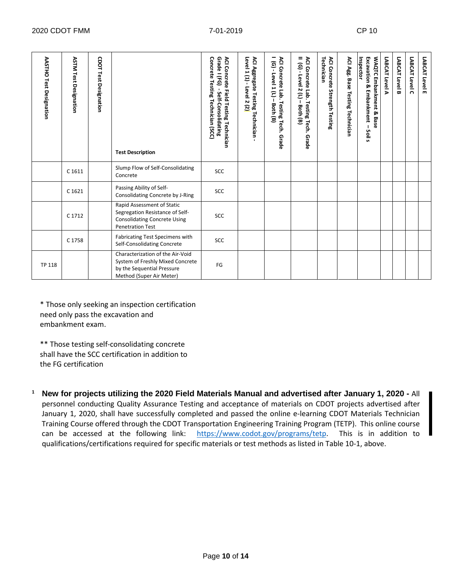| <b>AASTHO Test Designation</b> | <b>ASTM Test Designation</b> | CDOT Test Designation | <b>Test Description</b>                                                                                                         | Concrete Testing Technician (SCC)<br>Grade I (FG)<br><b>ACI Concrete</b><br>Field Testing Technician<br>Self-Consolidating | ACI Aggregate Testing Technician<br>Level 1 (1) - Level 2 (2 <mark>)</mark> | ACI Concrete Lab. Testing Tech. Grade<br>ື<br>Level 1 (L)<br>Both (B) | =<br>ACI Concrete Lab. Testing Tech.<br>$(6)$ - Level 2 $(1)$<br>$\mathbf{I}$<br>Both (B)<br>Grade | Technician<br><b>ACI Concrete</b><br><b>Strength Testing</b> | ACI Agg. Base<br><b>Testing Technician</b> | Inspector<br>WAQTC Embankment & Base<br>Excavation<br>ჯ<br>Embankment<br>Soil<br>s. | LABCAT Level A | LABCAT Level B | LABCAT Level C | LABCAT Level E |
|--------------------------------|------------------------------|-----------------------|---------------------------------------------------------------------------------------------------------------------------------|----------------------------------------------------------------------------------------------------------------------------|-----------------------------------------------------------------------------|-----------------------------------------------------------------------|----------------------------------------------------------------------------------------------------|--------------------------------------------------------------|--------------------------------------------|-------------------------------------------------------------------------------------|----------------|----------------|----------------|----------------|
|                                | C 1611                       |                       | Slump Flow of Self-Consolidating<br>Concrete                                                                                    | <b>SCC</b>                                                                                                                 |                                                                             |                                                                       |                                                                                                    |                                                              |                                            |                                                                                     |                |                |                |                |
|                                | C 1621                       |                       | Passing Ability of Self-<br>Consolidating Concrete by J-Ring                                                                    | <b>SCC</b>                                                                                                                 |                                                                             |                                                                       |                                                                                                    |                                                              |                                            |                                                                                     |                |                |                |                |
|                                | C 1712                       |                       | Rapid Assessment of Static<br>Segregation Resistance of Self-<br><b>Consolidating Concrete Using</b><br><b>Penetration Test</b> | <b>SCC</b>                                                                                                                 |                                                                             |                                                                       |                                                                                                    |                                                              |                                            |                                                                                     |                |                |                |                |
|                                | C 1758                       |                       | <b>Fabricating Test Specimens with</b><br>Self-Consolidating Concrete                                                           | <b>SCC</b>                                                                                                                 |                                                                             |                                                                       |                                                                                                    |                                                              |                                            |                                                                                     |                |                |                |                |
| <b>TP 118</b>                  |                              |                       | Characterization of the Air-Void<br>System of Freshly Mixed Concrete<br>by the Sequential Pressure<br>Method (Super Air Meter)  | FG                                                                                                                         |                                                                             |                                                                       |                                                                                                    |                                                              |                                            |                                                                                     |                |                |                |                |

\* Those only seeking an inspection certification need only pass the excavation and embankment exam.

\*\* Those testing self-consolidating concrete shall have the SCC certification in addition to the FG certification

**<sup>1</sup> New for projects utilizing the 2020 Field Materials Manual and advertised after January 1, 2020 -** All personnel conducting Quality Assurance Testing and acceptance of materials on CDOT projects advertised after January 1, 2020, shall have successfully completed and passed the online e-learning CDOT Materials Technician Training Course offered through the CDOT Transportation Engineering Training Program (TETP). This online course can be accessed at the following link: [https://www.codot.gov/programs/tetp.](https://www.codot.gov/programs/tetp) This is in addition to qualifications/certifications required for specific materials or test methods as listed in Table 10-1, above.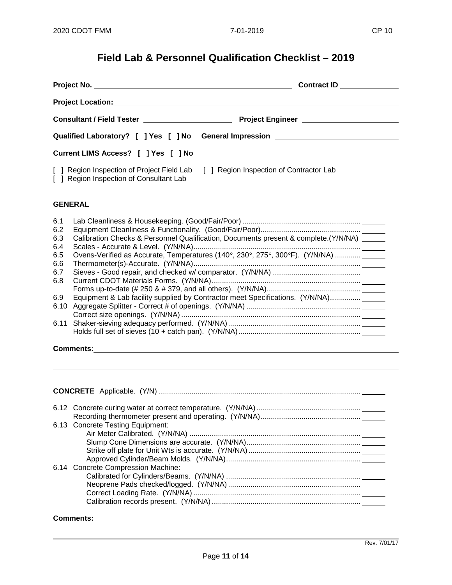# **Field Lab & Personnel Qualification Checklist – 2019**

|                                 |                                         | Contract ID _____________                                                                                                                                                        |  |  |  |  |
|---------------------------------|-----------------------------------------|----------------------------------------------------------------------------------------------------------------------------------------------------------------------------------|--|--|--|--|
|                                 |                                         |                                                                                                                                                                                  |  |  |  |  |
|                                 |                                         |                                                                                                                                                                                  |  |  |  |  |
|                                 |                                         | Qualified Laboratory? [ ] Yes [ ] No General Impression ________________________                                                                                                 |  |  |  |  |
|                                 | Current LIMS Access? [ ] Yes [ ] No     |                                                                                                                                                                                  |  |  |  |  |
|                                 | [ ] Region Inspection of Consultant Lab | [ ] Region Inspection of Project Field Lab [ ] Region Inspection of Contractor Lab                                                                                               |  |  |  |  |
|                                 | <b>GENERAL</b>                          |                                                                                                                                                                                  |  |  |  |  |
| 6.1<br>6.2<br>6.3<br>6.4<br>6.5 |                                         | Calibration Checks & Personnel Qualification, Documents present & complete.(Y/N/NA) _____<br>Ovens-Verified as Accurate, Temperatures (140°, 230°, 275°, 300°F). (Y/N/NA) ______ |  |  |  |  |
| 6.6<br>6.7                      |                                         |                                                                                                                                                                                  |  |  |  |  |
| 6.8<br>6.9                      |                                         |                                                                                                                                                                                  |  |  |  |  |

#### **Comments:**

| 6.13 Concrete Testing Equipment:   |
|------------------------------------|
|                                    |
|                                    |
|                                    |
|                                    |
| 6.14 Concrete Compression Machine: |
|                                    |
|                                    |
|                                    |
|                                    |
|                                    |

### **Comments:**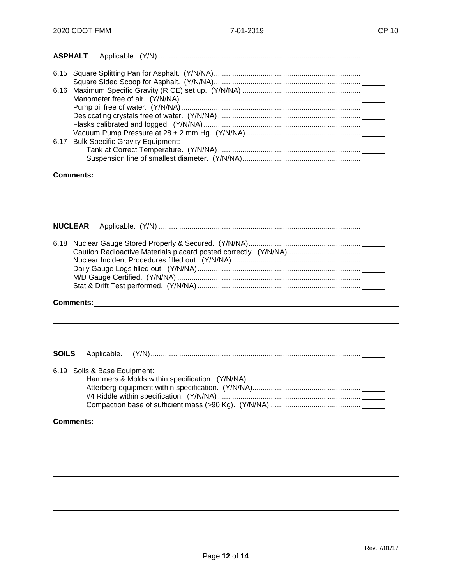| <b>ASPHALT</b> |                                                                                                                                           |
|----------------|-------------------------------------------------------------------------------------------------------------------------------------------|
|                |                                                                                                                                           |
|                |                                                                                                                                           |
|                |                                                                                                                                           |
|                |                                                                                                                                           |
|                |                                                                                                                                           |
|                |                                                                                                                                           |
|                |                                                                                                                                           |
|                |                                                                                                                                           |
|                | 6.17 Bulk Specific Gravity Equipment:                                                                                                     |
|                |                                                                                                                                           |
|                |                                                                                                                                           |
|                |                                                                                                                                           |
|                |                                                                                                                                           |
|                |                                                                                                                                           |
|                |                                                                                                                                           |
|                | NUCLEAR                                                                                                                                   |
|                |                                                                                                                                           |
|                |                                                                                                                                           |
|                |                                                                                                                                           |
|                |                                                                                                                                           |
|                |                                                                                                                                           |
|                |                                                                                                                                           |
|                |                                                                                                                                           |
|                |                                                                                                                                           |
|                | <b>Comments:</b><br><u> 1989 - Johann Stoff, deutscher Stoff, der Stoff, der Stoff, der Stoff, der Stoff, der Stoff, der Stoff, der S</u> |
|                |                                                                                                                                           |
|                |                                                                                                                                           |
|                |                                                                                                                                           |
|                |                                                                                                                                           |
| <b>SOILS</b>   | Applicable.                                                                                                                               |
|                |                                                                                                                                           |
|                | 6.19 Soils & Base Equipment:                                                                                                              |
|                |                                                                                                                                           |
|                |                                                                                                                                           |
|                |                                                                                                                                           |
|                |                                                                                                                                           |
|                |                                                                                                                                           |
|                |                                                                                                                                           |
|                |                                                                                                                                           |
|                |                                                                                                                                           |
|                |                                                                                                                                           |
|                |                                                                                                                                           |
|                |                                                                                                                                           |
|                |                                                                                                                                           |
|                |                                                                                                                                           |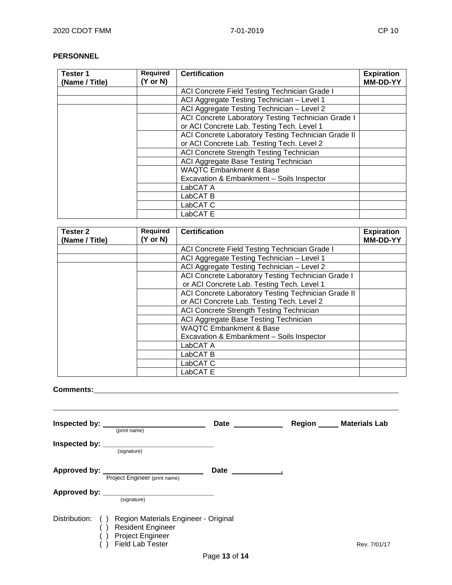#### **PERSONNEL**

| Tester 1<br>(Name / Title) | <b>Required</b><br>$(Y \text{ or } N)$ | <b>Certification</b>                                | <b>Expiration</b><br><b>MM-DD-YY</b> |
|----------------------------|----------------------------------------|-----------------------------------------------------|--------------------------------------|
|                            |                                        | ACI Concrete Field Testing Technician Grade I       |                                      |
|                            |                                        | ACI Aggregate Testing Technician - Level 1          |                                      |
|                            |                                        | ACI Aggregate Testing Technician - Level 2          |                                      |
|                            |                                        | ACI Concrete Laboratory Testing Technician Grade I  |                                      |
|                            |                                        | or ACI Concrete Lab. Testing Tech. Level 1          |                                      |
|                            |                                        | ACI Concrete Laboratory Testing Technician Grade II |                                      |
|                            |                                        | or ACI Concrete Lab. Testing Tech. Level 2          |                                      |
|                            |                                        | ACI Concrete Strength Testing Technician            |                                      |
|                            |                                        | ACI Aggregate Base Testing Technician               |                                      |
|                            |                                        | <b>WAQTC Embankment &amp; Base</b>                  |                                      |
|                            |                                        | Excavation & Embankment - Soils Inspector           |                                      |
|                            |                                        | LabCAT A                                            |                                      |
|                            |                                        | LabCAT <sub>B</sub>                                 |                                      |
|                            |                                        | LabCAT <sub>C</sub>                                 |                                      |
|                            |                                        | LabCAT E                                            |                                      |

| Tester 2<br>(Name / Title) | Required<br>(Y or N) | <b>Certification</b>                                | <b>Expiration</b><br>MM-DD-YY |
|----------------------------|----------------------|-----------------------------------------------------|-------------------------------|
|                            |                      |                                                     |                               |
|                            |                      | ACI Concrete Field Testing Technician Grade I       |                               |
|                            |                      | ACI Aggregate Testing Technician - Level 1          |                               |
|                            |                      | ACI Aggregate Testing Technician - Level 2          |                               |
|                            |                      | ACI Concrete Laboratory Testing Technician Grade I  |                               |
|                            |                      | or ACI Concrete Lab. Testing Tech. Level 1          |                               |
|                            |                      | ACI Concrete Laboratory Testing Technician Grade II |                               |
|                            |                      | or ACI Concrete Lab. Testing Tech. Level 2          |                               |
|                            |                      | ACI Concrete Strength Testing Technician            |                               |
|                            |                      | ACI Aggregate Base Testing Technician               |                               |
|                            |                      | <b>WAQTC Embankment &amp; Base</b>                  |                               |
|                            |                      | Excavation & Embankment - Soils Inspector           |                               |
|                            |                      | LabCAT A                                            |                               |
|                            |                      | LabCAT <sub>B</sub>                                 |                               |
|                            |                      | LabCAT <sub>C</sub>                                 |                               |
|                            |                      | LabCAT E                                            |                               |

# **Comments:**

| Inspected by: <b>with the set of the set of the set of the set of the set of the set of the set of the set of the set of the set of the set of the set of the set of the set of the set of the set of the set of the set of the </b> | (print name)                                                                                                       | Date | Region | <b>Materials Lab</b> |
|--------------------------------------------------------------------------------------------------------------------------------------------------------------------------------------------------------------------------------------|--------------------------------------------------------------------------------------------------------------------|------|--------|----------------------|
|                                                                                                                                                                                                                                      | (signature)                                                                                                        |      |        |                      |
|                                                                                                                                                                                                                                      | Project Engineer (print name)                                                                                      | Date |        |                      |
|                                                                                                                                                                                                                                      | (signature)                                                                                                        |      |        |                      |
| Distribution:                                                                                                                                                                                                                        | () Region Materials Engineer - Original<br><b>Resident Engineer</b><br>Project Engineer<br><b>Field Lab Tester</b> |      |        | Rev. 7/01/17         |